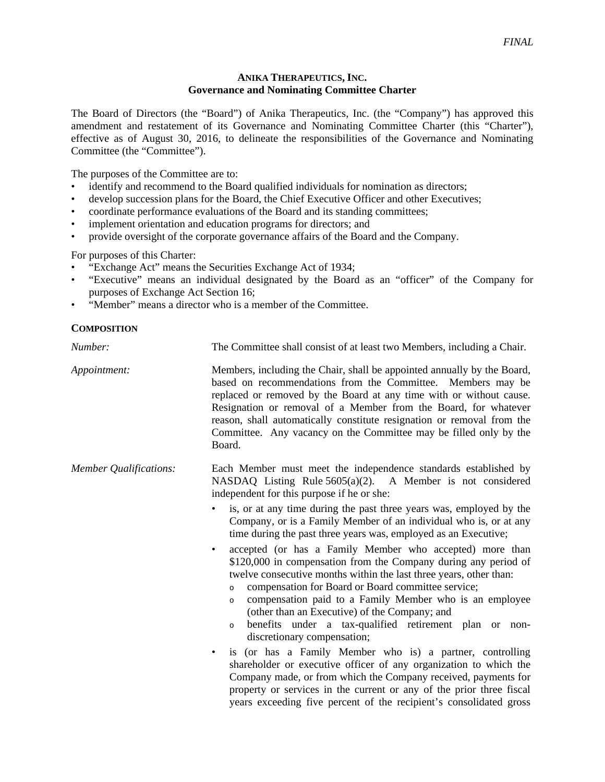## **ANIKA THERAPEUTICS, INC. Governance and Nominating Committee Charter**

The Board of Directors (the "Board") of Anika Therapeutics, Inc. (the "Company") has approved this amendment and restatement of its Governance and Nominating Committee Charter (this "Charter"), effective as of August 30, 2016, to delineate the responsibilities of the Governance and Nominating Committee (the "Committee").

The purposes of the Committee are to:

- identify and recommend to the Board qualified individuals for nomination as directors;
- develop succession plans for the Board, the Chief Executive Officer and other Executives;
- coordinate performance evaluations of the Board and its standing committees;
- implement orientation and education programs for directors; and
- provide oversight of the corporate governance affairs of the Board and the Company.

For purposes of this Charter:

- "Exchange Act" means the Securities Exchange Act of 1934;
- "Executive" means an individual designated by the Board as an "officer" of the Company for purposes of Exchange Act Section 16;
- "Member" means a director who is a member of the Committee.

## **COMPOSITION**

| Number:                       | The Committee shall consist of at least two Members, including a Chair.                                                                                                                                                                                                                                                                                                                                                                                                                                                                                                                                                                                                                                                                                                                                                                                                    |
|-------------------------------|----------------------------------------------------------------------------------------------------------------------------------------------------------------------------------------------------------------------------------------------------------------------------------------------------------------------------------------------------------------------------------------------------------------------------------------------------------------------------------------------------------------------------------------------------------------------------------------------------------------------------------------------------------------------------------------------------------------------------------------------------------------------------------------------------------------------------------------------------------------------------|
| Appointment:                  | Members, including the Chair, shall be appointed annually by the Board,<br>based on recommendations from the Committee. Members may be<br>replaced or removed by the Board at any time with or without cause.<br>Resignation or removal of a Member from the Board, for whatever<br>reason, shall automatically constitute resignation or removal from the<br>Committee. Any vacancy on the Committee may be filled only by the<br>Board.                                                                                                                                                                                                                                                                                                                                                                                                                                  |
| <b>Member Qualifications:</b> | Each Member must meet the independence standards established by<br>NASDAQ Listing Rule $5605(a)(2)$ . A Member is not considered<br>independent for this purpose if he or she:                                                                                                                                                                                                                                                                                                                                                                                                                                                                                                                                                                                                                                                                                             |
|                               | is, or at any time during the past three years was, employed by the<br>Company, or is a Family Member of an individual who is, or at any<br>time during the past three years was, employed as an Executive;                                                                                                                                                                                                                                                                                                                                                                                                                                                                                                                                                                                                                                                                |
|                               | accepted (or has a Family Member who accepted) more than<br>$\bullet$<br>\$120,000 in compensation from the Company during any period of<br>twelve consecutive months within the last three years, other than:<br>compensation for Board or Board committee service;<br>$\Omega$<br>compensation paid to a Family Member who is an employee<br>$\circ$<br>(other than an Executive) of the Company; and<br>benefits under a tax-qualified retirement plan or non-<br>$\circ$<br>discretionary compensation;<br>is (or has a Family Member who is) a partner, controlling<br>$\bullet$<br>shareholder or executive officer of any organization to which the<br>Company made, or from which the Company received, payments for<br>property or services in the current or any of the prior three fiscal<br>years exceeding five percent of the recipient's consolidated gross |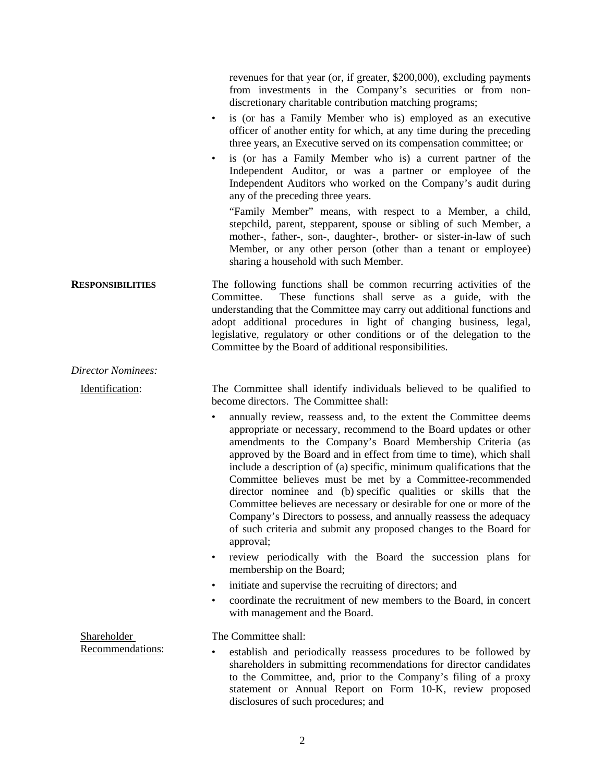|                           | revenues for that year (or, if greater, \$200,000), excluding payments<br>from investments in the Company's securities or from non-<br>discretionary charitable contribution matching programs;<br>is (or has a Family Member who is) employed as an executive<br>$\bullet$<br>officer of another entity for which, at any time during the preceding<br>three years, an Executive served on its compensation committee; or<br>is (or has a Family Member who is) a current partner of the<br>Independent Auditor, or was a partner or employee of the<br>Independent Auditors who worked on the Company's audit during<br>any of the preceding three years.<br>"Family Member" means, with respect to a Member, a child,<br>stepchild, parent, stepparent, spouse or sibling of such Member, a<br>mother-, father-, son-, daughter-, brother- or sister-in-law of such<br>Member, or any other person (other than a tenant or employee)<br>sharing a household with such Member. |
|---------------------------|----------------------------------------------------------------------------------------------------------------------------------------------------------------------------------------------------------------------------------------------------------------------------------------------------------------------------------------------------------------------------------------------------------------------------------------------------------------------------------------------------------------------------------------------------------------------------------------------------------------------------------------------------------------------------------------------------------------------------------------------------------------------------------------------------------------------------------------------------------------------------------------------------------------------------------------------------------------------------------|
| <b>RESPONSIBILITIES</b>   | The following functions shall be common recurring activities of the<br>These functions shall serve as a guide, with the<br>Committee.<br>understanding that the Committee may carry out additional functions and<br>adopt additional procedures in light of changing business, legal,<br>legislative, regulatory or other conditions or of the delegation to the<br>Committee by the Board of additional responsibilities.                                                                                                                                                                                                                                                                                                                                                                                                                                                                                                                                                       |
| <b>Director Nominees:</b> |                                                                                                                                                                                                                                                                                                                                                                                                                                                                                                                                                                                                                                                                                                                                                                                                                                                                                                                                                                                  |
| Identification:           | The Committee shall identify individuals believed to be qualified to<br>become directors. The Committee shall:                                                                                                                                                                                                                                                                                                                                                                                                                                                                                                                                                                                                                                                                                                                                                                                                                                                                   |
|                           | annually review, reassess and, to the extent the Committee deems<br>$\bullet$<br>appropriate or necessary, recommend to the Board updates or other<br>amendments to the Company's Board Membership Criteria (as<br>approved by the Board and in effect from time to time), which shall<br>include a description of (a) specific, minimum qualifications that the<br>Committee believes must be met by a Committee-recommended<br>director nominee and (b) specific qualities or skills that the<br>Committee believes are necessary or desirable for one or more of the<br>Company's Directors to possess, and annually reassess the adequacy<br>of such criteria and submit any proposed changes to the Board for<br>approval;<br>review periodically with the Board the succession plans for<br>$\bullet$<br>membership on the Board;                                                                                                                                          |
|                           | initiate and supervise the recruiting of directors; and<br>٠                                                                                                                                                                                                                                                                                                                                                                                                                                                                                                                                                                                                                                                                                                                                                                                                                                                                                                                     |
|                           | coordinate the recruitment of new members to the Board, in concert<br>$\bullet$<br>with management and the Board.                                                                                                                                                                                                                                                                                                                                                                                                                                                                                                                                                                                                                                                                                                                                                                                                                                                                |
| <b>Shareholder</b>        | The Committee shall:                                                                                                                                                                                                                                                                                                                                                                                                                                                                                                                                                                                                                                                                                                                                                                                                                                                                                                                                                             |
| Recommendations:          | establish and periodically reassess procedures to be followed by<br>shareholders in submitting recommendations for director candidates<br>to the Committee, and, prior to the Company's filing of a proxy<br>statement or Annual Report on Form 10-K, review proposed<br>disclosures of such procedures; and                                                                                                                                                                                                                                                                                                                                                                                                                                                                                                                                                                                                                                                                     |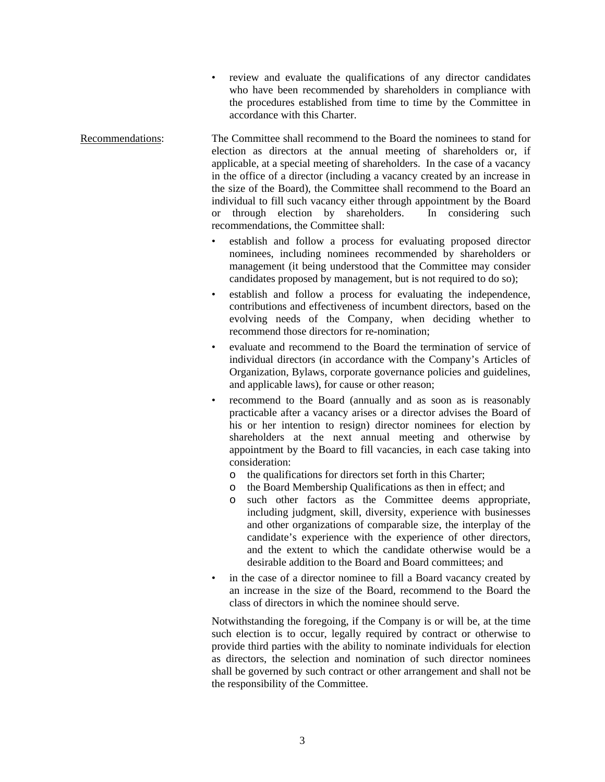- review and evaluate the qualifications of any director candidates who have been recommended by shareholders in compliance with the procedures established from time to time by the Committee in accordance with this Charter.
- Recommendations: The Committee shall recommend to the Board the nominees to stand for election as directors at the annual meeting of shareholders or, if applicable, at a special meeting of shareholders. In the case of a vacancy in the office of a director (including a vacancy created by an increase in the size of the Board), the Committee shall recommend to the Board an individual to fill such vacancy either through appointment by the Board or through election by shareholders. In considering such recommendations, the Committee shall:
	- establish and follow a process for evaluating proposed director nominees, including nominees recommended by shareholders or management (it being understood that the Committee may consider candidates proposed by management, but is not required to do so);
	- establish and follow a process for evaluating the independence, contributions and effectiveness of incumbent directors, based on the evolving needs of the Company, when deciding whether to recommend those directors for re-nomination;
	- evaluate and recommend to the Board the termination of service of individual directors (in accordance with the Company's Articles of Organization, Bylaws, corporate governance policies and guidelines, and applicable laws), for cause or other reason;
	- recommend to the Board (annually and as soon as is reasonably practicable after a vacancy arises or a director advises the Board of his or her intention to resign) director nominees for election by shareholders at the next annual meeting and otherwise by appointment by the Board to fill vacancies, in each case taking into consideration:
		- o the qualifications for directors set forth in this Charter;
		- o the Board Membership Qualifications as then in effect; and
		- o such other factors as the Committee deems appropriate, including judgment, skill, diversity, experience with businesses and other organizations of comparable size, the interplay of the candidate's experience with the experience of other directors, and the extent to which the candidate otherwise would be a desirable addition to the Board and Board committees; and
	- in the case of a director nominee to fill a Board vacancy created by an increase in the size of the Board, recommend to the Board the class of directors in which the nominee should serve.

Notwithstanding the foregoing, if the Company is or will be, at the time such election is to occur, legally required by contract or otherwise to provide third parties with the ability to nominate individuals for election as directors, the selection and nomination of such director nominees shall be governed by such contract or other arrangement and shall not be the responsibility of the Committee.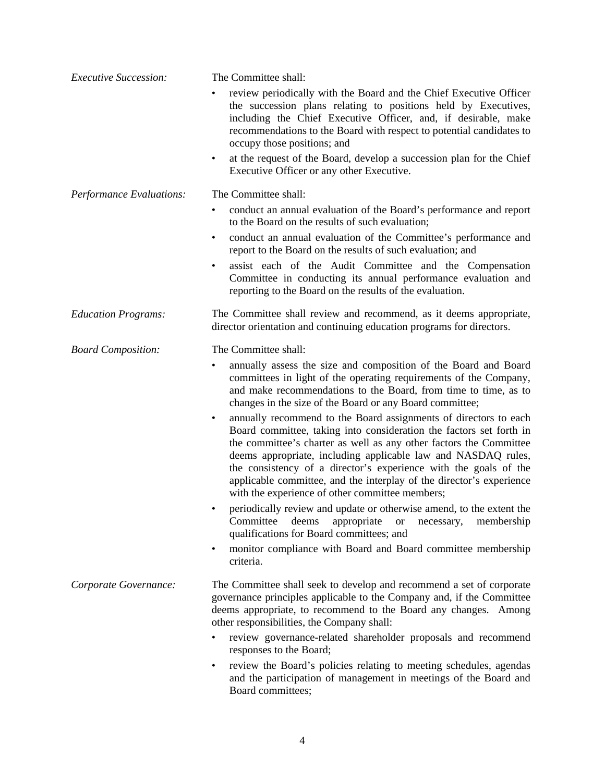| <b>Executive Succession:</b> | The Committee shall:                                                                                                                                                                                                                                                                                                                                                                                                                                                                       |
|------------------------------|--------------------------------------------------------------------------------------------------------------------------------------------------------------------------------------------------------------------------------------------------------------------------------------------------------------------------------------------------------------------------------------------------------------------------------------------------------------------------------------------|
|                              | review periodically with the Board and the Chief Executive Officer<br>the succession plans relating to positions held by Executives,<br>including the Chief Executive Officer, and, if desirable, make<br>recommendations to the Board with respect to potential candidates to<br>occupy those positions; and<br>at the request of the Board, develop a succession plan for the Chief<br>$\bullet$                                                                                         |
|                              | Executive Officer or any other Executive.                                                                                                                                                                                                                                                                                                                                                                                                                                                  |
| Performance Evaluations:     | The Committee shall:<br>conduct an annual evaluation of the Board's performance and report<br>٠<br>to the Board on the results of such evaluation;                                                                                                                                                                                                                                                                                                                                         |
|                              | conduct an annual evaluation of the Committee's performance and<br>٠<br>report to the Board on the results of such evaluation; and                                                                                                                                                                                                                                                                                                                                                         |
|                              | assist each of the Audit Committee and the Compensation<br>٠<br>Committee in conducting its annual performance evaluation and<br>reporting to the Board on the results of the evaluation.                                                                                                                                                                                                                                                                                                  |
| <b>Education Programs:</b>   | The Committee shall review and recommend, as it deems appropriate,<br>director orientation and continuing education programs for directors.                                                                                                                                                                                                                                                                                                                                                |
| <b>Board Composition:</b>    | The Committee shall:                                                                                                                                                                                                                                                                                                                                                                                                                                                                       |
|                              | annually assess the size and composition of the Board and Board<br>٠<br>committees in light of the operating requirements of the Company,<br>and make recommendations to the Board, from time to time, as to<br>changes in the size of the Board or any Board committee;                                                                                                                                                                                                                   |
|                              | annually recommend to the Board assignments of directors to each<br>$\bullet$<br>Board committee, taking into consideration the factors set forth in<br>the committee's charter as well as any other factors the Committee<br>deems appropriate, including applicable law and NASDAQ rules,<br>the consistency of a director's experience with the goals of the<br>applicable committee, and the interplay of the director's experience<br>with the experience of other committee members; |
|                              | periodically review and update or otherwise amend, to the extent the<br>٠<br>Committee<br>deems<br>appropriate<br>membership<br><b>or</b><br>necessary,<br>qualifications for Board committees; and                                                                                                                                                                                                                                                                                        |
|                              | monitor compliance with Board and Board committee membership<br>٠<br>criteria.                                                                                                                                                                                                                                                                                                                                                                                                             |
| Corporate Governance:        | The Committee shall seek to develop and recommend a set of corporate<br>governance principles applicable to the Company and, if the Committee<br>deems appropriate, to recommend to the Board any changes. Among<br>other responsibilities, the Company shall:                                                                                                                                                                                                                             |
|                              | review governance-related shareholder proposals and recommend<br>٠<br>responses to the Board;                                                                                                                                                                                                                                                                                                                                                                                              |
|                              | review the Board's policies relating to meeting schedules, agendas<br>٠<br>and the participation of management in meetings of the Board and<br>Board committees;                                                                                                                                                                                                                                                                                                                           |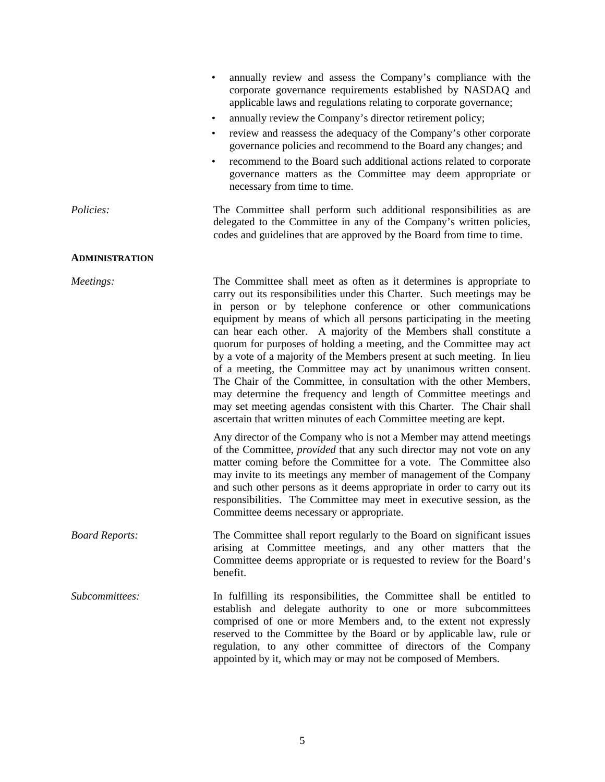|                       | annually review and assess the Company's compliance with the<br>corporate governance requirements established by NASDAQ and<br>applicable laws and regulations relating to corporate governance;<br>annually review the Company's director retirement policy;<br>$\bullet$<br>review and reassess the adequacy of the Company's other corporate<br>$\bullet$<br>governance policies and recommend to the Board any changes; and<br>recommend to the Board such additional actions related to corporate<br>governance matters as the Committee may deem appropriate or<br>necessary from time to time.                                                                                                                                                                                                                                                                                                                                                                                                                                                                                                                                                                                                                                                                                                                                                                             |
|-----------------------|-----------------------------------------------------------------------------------------------------------------------------------------------------------------------------------------------------------------------------------------------------------------------------------------------------------------------------------------------------------------------------------------------------------------------------------------------------------------------------------------------------------------------------------------------------------------------------------------------------------------------------------------------------------------------------------------------------------------------------------------------------------------------------------------------------------------------------------------------------------------------------------------------------------------------------------------------------------------------------------------------------------------------------------------------------------------------------------------------------------------------------------------------------------------------------------------------------------------------------------------------------------------------------------------------------------------------------------------------------------------------------------|
| Policies:             | The Committee shall perform such additional responsibilities as are<br>delegated to the Committee in any of the Company's written policies,<br>codes and guidelines that are approved by the Board from time to time.                                                                                                                                                                                                                                                                                                                                                                                                                                                                                                                                                                                                                                                                                                                                                                                                                                                                                                                                                                                                                                                                                                                                                             |
| <b>ADMINISTRATION</b> |                                                                                                                                                                                                                                                                                                                                                                                                                                                                                                                                                                                                                                                                                                                                                                                                                                                                                                                                                                                                                                                                                                                                                                                                                                                                                                                                                                                   |
| Meetings:             | The Committee shall meet as often as it determines is appropriate to<br>carry out its responsibilities under this Charter. Such meetings may be<br>in person or by telephone conference or other communications<br>equipment by means of which all persons participating in the meeting<br>can hear each other. A majority of the Members shall constitute a<br>quorum for purposes of holding a meeting, and the Committee may act<br>by a vote of a majority of the Members present at such meeting. In lieu<br>of a meeting, the Committee may act by unanimous written consent.<br>The Chair of the Committee, in consultation with the other Members,<br>may determine the frequency and length of Committee meetings and<br>may set meeting agendas consistent with this Charter. The Chair shall<br>ascertain that written minutes of each Committee meeting are kept.<br>Any director of the Company who is not a Member may attend meetings<br>of the Committee, <i>provided</i> that any such director may not vote on any<br>matter coming before the Committee for a vote. The Committee also<br>may invite to its meetings any member of management of the Company<br>and such other persons as it deems appropriate in order to carry out its<br>responsibilities. The Committee may meet in executive session, as the<br>Committee deems necessary or appropriate. |
| <b>Board Reports:</b> | The Committee shall report regularly to the Board on significant issues<br>arising at Committee meetings, and any other matters that the<br>Committee deems appropriate or is requested to review for the Board's<br>benefit.                                                                                                                                                                                                                                                                                                                                                                                                                                                                                                                                                                                                                                                                                                                                                                                                                                                                                                                                                                                                                                                                                                                                                     |
| Subcommittees:        | In fulfilling its responsibilities, the Committee shall be entitled to<br>establish and delegate authority to one or more subcommittees<br>comprised of one or more Members and, to the extent not expressly<br>reserved to the Committee by the Board or by applicable law, rule or<br>regulation, to any other committee of directors of the Company<br>appointed by it, which may or may not be composed of Members.                                                                                                                                                                                                                                                                                                                                                                                                                                                                                                                                                                                                                                                                                                                                                                                                                                                                                                                                                           |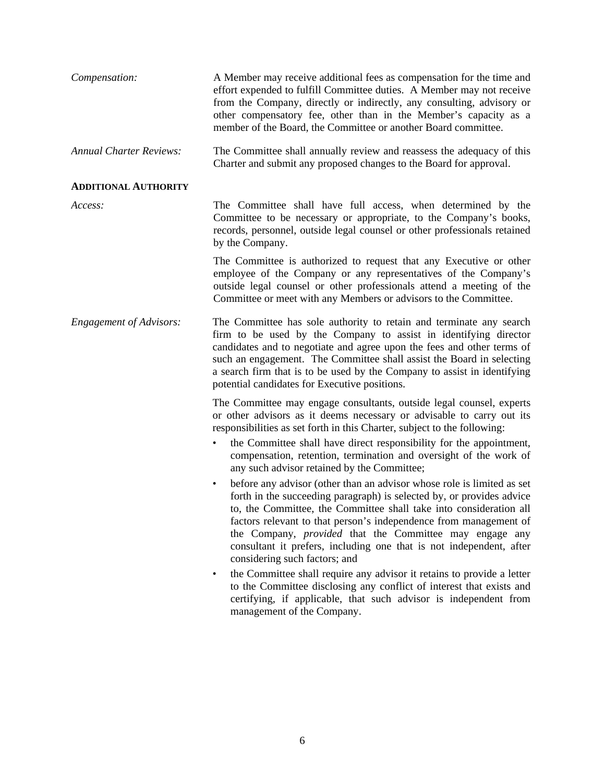| Compensation:                  | A Member may receive additional fees as compensation for the time and<br>effort expended to fulfill Committee duties. A Member may not receive<br>from the Company, directly or indirectly, any consulting, advisory or<br>other compensatory fee, other than in the Member's capacity as a<br>member of the Board, the Committee or another Board committee.                                                                                                                     |
|--------------------------------|-----------------------------------------------------------------------------------------------------------------------------------------------------------------------------------------------------------------------------------------------------------------------------------------------------------------------------------------------------------------------------------------------------------------------------------------------------------------------------------|
| <b>Annual Charter Reviews:</b> | The Committee shall annually review and reassess the adequacy of this<br>Charter and submit any proposed changes to the Board for approval.                                                                                                                                                                                                                                                                                                                                       |
| <b>ADDITIONAL AUTHORITY</b>    |                                                                                                                                                                                                                                                                                                                                                                                                                                                                                   |
| Access:                        | The Committee shall have full access, when determined by the<br>Committee to be necessary or appropriate, to the Company's books,<br>records, personnel, outside legal counsel or other professionals retained<br>by the Company.                                                                                                                                                                                                                                                 |
|                                | The Committee is authorized to request that any Executive or other<br>employee of the Company or any representatives of the Company's<br>outside legal counsel or other professionals attend a meeting of the<br>Committee or meet with any Members or advisors to the Committee.                                                                                                                                                                                                 |
| <b>Engagement of Advisors:</b> | The Committee has sole authority to retain and terminate any search<br>firm to be used by the Company to assist in identifying director<br>candidates and to negotiate and agree upon the fees and other terms of<br>such an engagement. The Committee shall assist the Board in selecting<br>a search firm that is to be used by the Company to assist in identifying<br>potential candidates for Executive positions.                                                           |
|                                | The Committee may engage consultants, outside legal counsel, experts<br>or other advisors as it deems necessary or advisable to carry out its<br>responsibilities as set forth in this Charter, subject to the following:<br>the Committee shall have direct responsibility for the appointment,<br>$\bullet$<br>compensation, retention, termination and oversight of the work of<br>any such advisor retained by the Committee;                                                 |
|                                | before any advisor (other than an advisor whose role is limited as set<br>$\bullet$<br>forth in the succeeding paragraph) is selected by, or provides advice<br>to, the Committee, the Committee shall take into consideration all<br>factors relevant to that person's independence from management of<br>the Company, <i>provided</i> that the Committee may engage any<br>consultant it prefers, including one that is not independent, after<br>considering such factors; and |
|                                | the Committee shall require any advisor it retains to provide a letter<br>$\bullet$<br>to the Committee disclosing any conflict of interest that exists and<br>certifying, if applicable, that such advisor is independent from<br>management of the Company.                                                                                                                                                                                                                     |